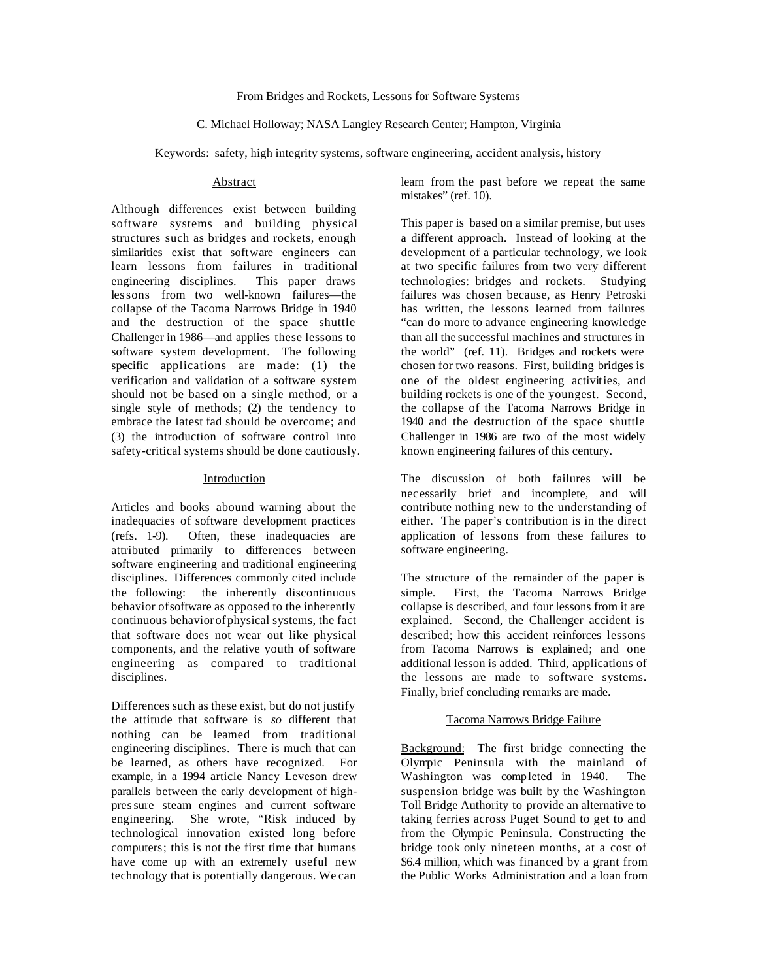#### From Bridges and Rockets, Lessons for Software Systems

#### C. Michael Holloway; NASA Langley Research Center; Hampton, Virginia

Keywords: safety, high integrity systems, software engineering, accident analysis, history

#### Abstract

Although differences exist between building software systems and building physical structures such as bridges and rockets, enough similarities exist that software engineers can learn lessons from failures in traditional engineering disciplines. This paper draws les sons from two well-known failures—the collapse of the Tacoma Narrows Bridge in 1940 and the destruction of the space shuttle Challenger in 1986—and applies these lessons to software system development. The following specific applications are made: (1) the verification and validation of a software system should not be based on a single method, or a single style of methods; (2) the tendency to embrace the latest fad should be overcome; and (3) the introduction of software control into safety-critical systems should be done cautiously.

#### Introduction

Articles and books abound warning about the inadequacies of software development practices (refs. 1-9). Often, these inadequacies are attributed primarily to differences between software engineering and traditional engineering disciplines. Differences commonly cited include the following: the inherently discontinuous behavior of software as opposed to the inherently continuous behavior of physical systems, the fact that software does not wear out like physical components, and the relative youth of software engineering as compared to traditional disciplines.

Differences such as these exist, but do not justify the attitude that software is *so* different that nothing can be learned from traditional engineering disciplines. There is much that can be learned, as others have recognized. For example, in a 1994 article Nancy Leveson drew parallels between the early development of highpres sure steam engines and current software engineering. She wrote, "Risk induced by technological innovation existed long before computers; this is not the first time that humans have come up with an extremely useful new technology that is potentially dangerous. We can

learn from the past before we repeat the same mistakes" (ref. 10).

This paper is based on a similar premise, but uses a different approach. Instead of looking at the development of a particular technology, we look at two specific failures from two very different technologies: bridges and rockets. Studying failures was chosen because, as Henry Petroski has written, the lessons learned from failures "can do more to advance engineering knowledge than all the successful machines and structures in the world" (ref. 11). Bridges and rockets were chosen for two reasons. First, building bridges is one of the oldest engineering activities, and building rockets is one of the youngest. Second, the collapse of the Tacoma Narrows Bridge in 1940 and the destruction of the space shuttle Challenger in 1986 are two of the most widely known engineering failures of this century.

The discussion of both failures will be necessarily brief and incomplete, and will contribute nothing new to the understanding of either. The paper's contribution is in the direct application of lessons from these failures to software engineering.

The structure of the remainder of the paper is simple. First, the Tacoma Narrows Bridge collapse is described, and four lessons from it are explained. Second, the Challenger accident is described; how this accident reinforces lessons from Tacoma Narrows is explained; and one additional lesson is added. Third, applications of the lessons are made to software systems. Finally, brief concluding remarks are made.

## Tacoma Narrows Bridge Failure

Background: The first bridge connecting the Olympic Peninsula with the mainland of Washington was completed in 1940. The suspension bridge was built by the Washington Toll Bridge Authority to provide an alternative to taking ferries across Puget Sound to get to and from the Olympic Peninsula. Constructing the bridge took only nineteen months, at a cost of \$6.4 million, which was financed by a grant from the Public Works Administration and a loan from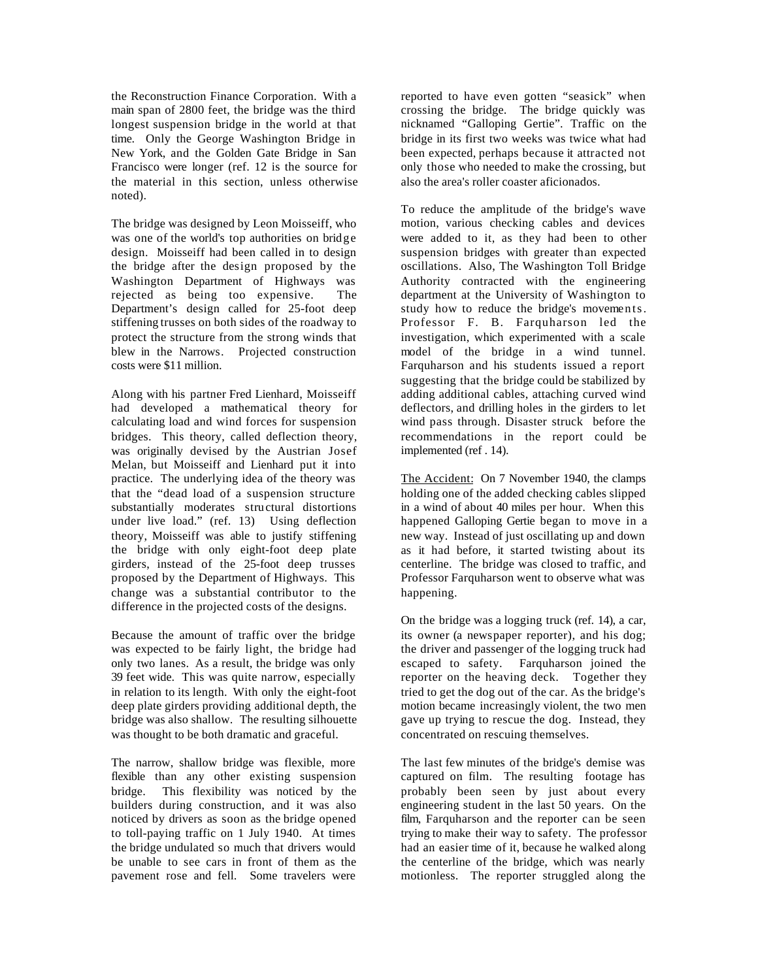the Reconstruction Finance Corporation. With a main span of 2800 feet, the bridge was the third longest suspension bridge in the world at that time. Only the George Washington Bridge in New York, and the Golden Gate Bridge in San Francisco were longer (ref. 12 is the source for the material in this section, unless otherwise noted).

The bridge was designed by Leon Moisseiff, who was one of the world's top authorities on bridge design. Moisseiff had been called in to design the bridge after the design proposed by the Washington Department of Highways was rejected as being too expensive. The Department's design called for 25-foot deep stiffening trusses on both sides of the roadway to protect the structure from the strong winds that blew in the Narrows. Projected construction costs were \$11 million.

Along with his partner Fred Lienhard, Moisseiff had developed a mathematical theory for calculating load and wind forces for suspension bridges. This theory, called deflection theory, was originally devised by the Austrian Josef Melan, but Moisseiff and Lienhard put it into practice. The underlying idea of the theory was that the "dead load of a suspension structure substantially moderates structural distortions under live load." (ref. 13) Using deflection theory, Moisseiff was able to justify stiffening the bridge with only eight-foot deep plate girders, instead of the 25-foot deep trusses proposed by the Department of Highways. This change was a substantial contributor to the difference in the projected costs of the designs.

Because the amount of traffic over the bridge was expected to be fairly light, the bridge had only two lanes. As a result, the bridge was only 39 feet wide. This was quite narrow, especially in relation to its length. With only the eight-foot deep plate girders providing additional depth, the bridge was also shallow. The resulting silhouette was thought to be both dramatic and graceful.

The narrow, shallow bridge was flexible, more flexible than any other existing suspension bridge. This flexibility was noticed by the builders during construction, and it was also noticed by drivers as soon as the bridge opened to toll-paying traffic on 1 July 1940. At times the bridge undulated so much that drivers would be unable to see cars in front of them as the pavement rose and fell. Some travelers were

reported to have even gotten "seasick" when crossing the bridge. The bridge quickly was nicknamed "Galloping Gertie". Traffic on the bridge in its first two weeks was twice what had been expected, perhaps because it attracted not only those who needed to make the crossing, but also the area's roller coaster aficionados.

To reduce the amplitude of the bridge's wave motion, various checking cables and devices were added to it, as they had been to other suspension bridges with greater than expected oscillations. Also, The Washington Toll Bridge Authority contracted with the engineering department at the University of Washington to study how to reduce the bridge's movements. Professor F. B. Farquharson led the investigation, which experimented with a scale model of the bridge in a wind tunnel. Farquharson and his students issued a report suggesting that the bridge could be stabilized by adding additional cables, attaching curved wind deflectors, and drilling holes in the girders to let wind pass through. Disaster struck before the recommendations in the report could be implemented (ref . 14).

The Accident: On 7 November 1940, the clamps holding one of the added checking cables slipped in a wind of about 40 miles per hour. When this happened Galloping Gertie began to move in a new way. Instead of just oscillating up and down as it had before, it started twisting about its centerline. The bridge was closed to traffic, and Professor Farquharson went to observe what was happening.

On the bridge was a logging truck (ref. 14), a car, its owner (a newspaper reporter), and his dog; the driver and passenger of the logging truck had escaped to safety. Farquharson joined the reporter on the heaving deck. Together they tried to get the dog out of the car. As the bridge's motion became increasingly violent, the two men gave up trying to rescue the dog. Instead, they concentrated on rescuing themselves.

The last few minutes of the bridge's demise was captured on film. The resulting footage has probably been seen by just about every engineering student in the last 50 years. On the film, Farquharson and the reporter can be seen trying to make their way to safety. The professor had an easier time of it, because he walked along the centerline of the bridge, which was nearly motionless. The reporter struggled along the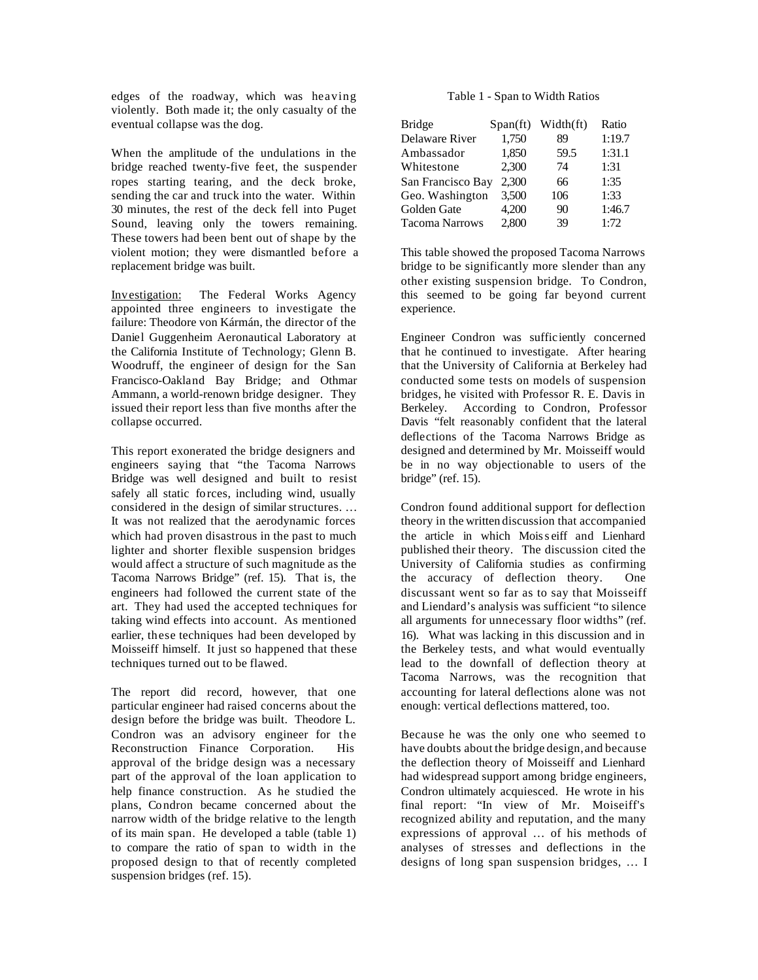edges of the roadway, which was heaving violently. Both made it; the only casualty of the eventual collapse was the dog.

When the amplitude of the undulations in the bridge reached twenty-five feet, the suspender ropes starting tearing, and the deck broke, sending the car and truck into the water. Within 30 minutes, the rest of the deck fell into Puget Sound, leaving only the towers remaining. These towers had been bent out of shape by the violent motion; they were dismantled before a replacement bridge was built.

Investigation: The Federal Works Agency appointed three engineers to investigate the failure: Theodore von Kármán, the director of the Daniel Guggenheim Aeronautical Laboratory at the California Institute of Technology; Glenn B. Woodruff, the engineer of design for the San Francisco-Oakland Bay Bridge; and Othmar Ammann, a world-renown bridge designer. They issued their report less than five months after the collapse occurred.

This report exonerated the bridge designers and engineers saying that "the Tacoma Narrows Bridge was well designed and built to resist safely all static forces, including wind, usually considered in the design of similar structures. … It was not realized that the aerodynamic forces which had proven disastrous in the past to much lighter and shorter flexible suspension bridges would affect a structure of such magnitude as the Tacoma Narrows Bridge" (ref. 15). That is, the engineers had followed the current state of the art. They had used the accepted techniques for taking wind effects into account. As mentioned earlier, these techniques had been developed by Moisseiff himself. It just so happened that these techniques turned out to be flawed.

The report did record, however, that one particular engineer had raised concerns about the design before the bridge was built. Theodore L. Condron was an advisory engineer for the Reconstruction Finance Corporation. His approval of the bridge design was a necessary part of the approval of the loan application to help finance construction. As he studied the plans, Condron became concerned about the narrow width of the bridge relative to the length of its main span. He developed a table (table 1) to compare the ratio of span to width in the proposed design to that of recently completed suspension bridges (ref. 15).

## Table 1 - Span to Width Ratios

| <b>Bridge</b>         | $Span({\rm ft})$ | Width(ft) | Ratio  |
|-----------------------|------------------|-----------|--------|
| Delaware River        | 1,750            | 89        | 1:19.7 |
| Ambassador            | 1,850            | 59.5      | 1:31.1 |
| Whitestone            | 2,300            | 74        | 1:31   |
| San Francisco Bay     | 2,300            | 66        | 1:35   |
| Geo. Washington       | 3,500            | 106       | 1:33   |
| Golden Gate           | 4,200            | 90        | 1:46.7 |
| <b>Tacoma Narrows</b> | 2,800            | 39        | 1:72   |

This table showed the proposed Tacoma Narrows bridge to be significantly more slender than any other existing suspension bridge. To Condron, this seemed to be going far beyond current experience.

Engineer Condron was sufficiently concerned that he continued to investigate. After hearing that the University of California at Berkeley had conducted some tests on models of suspension bridges, he visited with Professor R. E. Davis in Berkeley. According to Condron, Professor Davis "felt reasonably confident that the lateral deflections of the Tacoma Narrows Bridge as designed and determined by Mr. Moisseiff would be in no way objectionable to users of the bridge" (ref. 15).

Condron found additional support for deflection theory in the written discussion that accompanied the article in which Mois s eiff and Lienhard published their theory. The discussion cited the University of California studies as confirming the accuracy of deflection theory. One discussant went so far as to say that Moisseiff and Liendard's analysis was sufficient "to silence all arguments for unnecessary floor widths" (ref. 16). What was lacking in this discussion and in the Berkeley tests, and what would eventually lead to the downfall of deflection theory at Tacoma Narrows, was the recognition that accounting for lateral deflections alone was not enough: vertical deflections mattered, too.

Because he was the only one who seemed to have doubts about the bridge design, and because the deflection theory of Moisseiff and Lienhard had widespread support among bridge engineers, Condron ultimately acquiesced. He wrote in his final report: "In view of Mr. Moiseiff's recognized ability and reputation, and the many expressions of approval … of his methods of analyses of stresses and deflections in the designs of long span suspension bridges, … I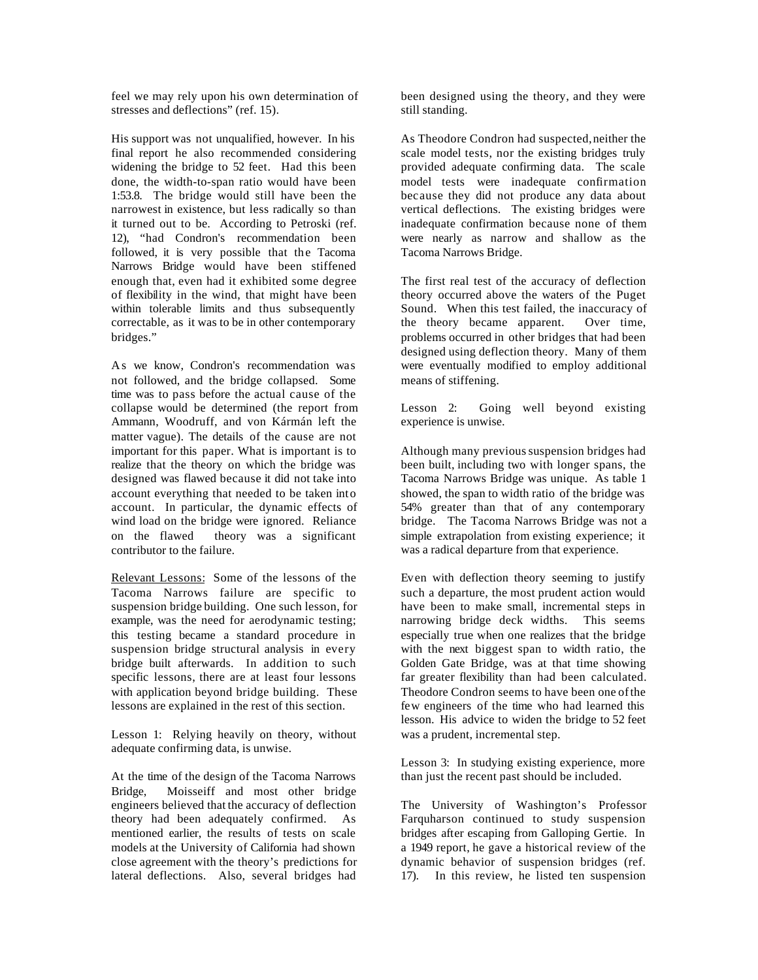feel we may rely upon his own determination of stresses and deflections" (ref. 15).

His support was not unqualified, however. In his final report he also recommended considering widening the bridge to 52 feet. Had this been done, the width-to-span ratio would have been 1:53.8. The bridge would still have been the narrowest in existence, but less radically so than it turned out to be. According to Petroski (ref. 12), "had Condron's recommendation been followed, it is very possible that the Tacoma Narrows Bridge would have been stiffened enough that, even had it exhibited some degree of flexibility in the wind, that might have been within tolerable limits and thus subsequently correctable, as it was to be in other contemporary bridges."

As we know, Condron's recommendation was not followed, and the bridge collapsed. Some time was to pass before the actual cause of the collapse would be determined (the report from Ammann, Woodruff, and von Kármán left the matter vague). The details of the cause are not important for this paper. What is important is to realize that the theory on which the bridge was designed was flawed because it did not take into account everything that needed to be taken into account. In particular, the dynamic effects of wind load on the bridge were ignored. Reliance on the flawed theory was a significant contributor to the failure.

Relevant Lessons: Some of the lessons of the Tacoma Narrows failure are specific to suspension bridge building. One such lesson, for example, was the need for aerodynamic testing; this testing became a standard procedure in suspension bridge structural analysis in every bridge built afterwards. In addition to such specific lessons, there are at least four lessons with application beyond bridge building. These lessons are explained in the rest of this section.

Lesson 1: Relying heavily on theory, without adequate confirming data, is unwise.

At the time of the design of the Tacoma Narrows Bridge, Moisseiff and most other bridge engineers believed that the accuracy of deflection theory had been adequately confirmed. As mentioned earlier, the results of tests on scale models at the University of California had shown close agreement with the theory's predictions for lateral deflections. Also, several bridges had

been designed using the theory, and they were still standing.

As Theodore Condron had suspected, neither the scale model tests, nor the existing bridges truly provided adequate confirming data. The scale model tests were inadequate confirmation because they did not produce any data about vertical deflections. The existing bridges were inadequate confirmation because none of them were nearly as narrow and shallow as the Tacoma Narrows Bridge.

The first real test of the accuracy of deflection theory occurred above the waters of the Puget Sound. When this test failed, the inaccuracy of the theory became apparent. Over time, problems occurred in other bridges that had been designed using deflection theory. Many of them were eventually modified to employ additional means of stiffening.

Lesson 2: Going well beyond existing experience is unwise.

Although many previous suspension bridges had been built, including two with longer spans, the Tacoma Narrows Bridge was unique. As table 1 showed, the span to width ratio of the bridge was 54% greater than that of any contemporary bridge. The Tacoma Narrows Bridge was not a simple extrapolation from existing experience; it was a radical departure from that experience.

Even with deflection theory seeming to justify such a departure, the most prudent action would have been to make small, incremental steps in narrowing bridge deck widths. This seems especially true when one realizes that the bridge with the next biggest span to width ratio, the Golden Gate Bridge, was at that time showing far greater flexibility than had been calculated. Theodore Condron seems to have been one of the few engineers of the time who had learned this lesson. His advice to widen the bridge to 52 feet was a prudent, incremental step.

Lesson 3: In studying existing experience, more than just the recent past should be included.

The University of Washington's Professor Farquharson continued to study suspension bridges after escaping from Galloping Gertie. In a 1949 report, he gave a historical review of the dynamic behavior of suspension bridges (ref. 17). In this review, he listed ten suspension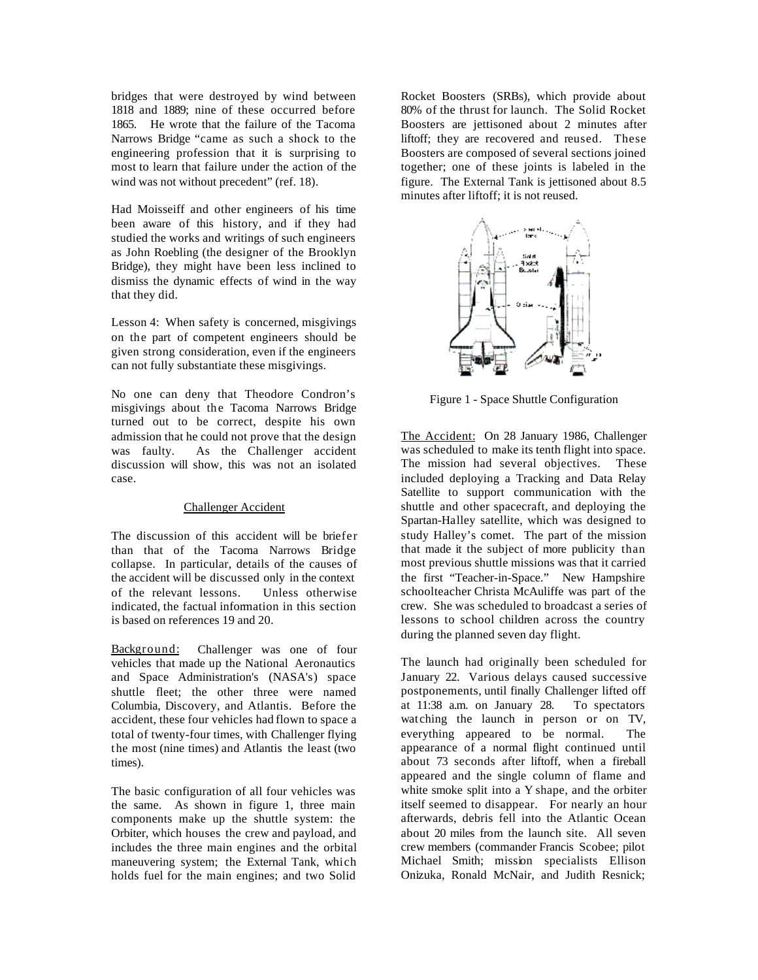bridges that were destroyed by wind between 1818 and 1889; nine of these occurred before 1865. He wrote that the failure of the Tacoma Narrows Bridge "came as such a shock to the engineering profession that it is surprising to most to learn that failure under the action of the wind was not without precedent" (ref. 18).

Had Moisseiff and other engineers of his time been aware of this history, and if they had studied the works and writings of such engineers as John Roebling (the designer of the Brooklyn Bridge), they might have been less inclined to dismiss the dynamic effects of wind in the way that they did.

Lesson 4: When safety is concerned, misgivings on the part of competent engineers should be given strong consideration, even if the engineers can not fully substantiate these misgivings.

No one can deny that Theodore Condron's misgivings about the Tacoma Narrows Bridge turned out to be correct, despite his own admission that he could not prove that the design was faulty. As the Challenger accident discussion will show, this was not an isolated case.

## Challenger Accident

The discussion of this accident will be briefer than that of the Tacoma Narrows Bridge collapse. In particular, details of the causes of the accident will be discussed only in the context of the relevant lessons. Unless otherwise indicated, the factual information in this section is based on references 19 and 20.

Background: Challenger was one of four vehicles that made up the National Aeronautics and Space Administration's (NASA's) space shuttle fleet; the other three were named Columbia, Discovery, and Atlantis. Before the accident, these four vehicles had flown to space a total of twenty-four times, with Challenger flying the most (nine times) and Atlantis the least (two times).

The basic configuration of all four vehicles was the same. As shown in figure 1, three main components make up the shuttle system: the Orbiter, which houses the crew and payload, and includes the three main engines and the orbital maneuvering system; the External Tank, which holds fuel for the main engines; and two Solid

Rocket Boosters (SRBs), which provide about 80% of the thrust for launch. The Solid Rocket Boosters are jettisoned about 2 minutes after liftoff; they are recovered and reused. These Boosters are composed of several sections joined together; one of these joints is labeled in the figure. The External Tank is jettisoned about 8.5 minutes after liftoff; it is not reused.



Figure 1 - Space Shuttle Configuration

The Accident: On 28 January 1986, Challenger was scheduled to make its tenth flight into space. The mission had several objectives. These included deploying a Tracking and Data Relay Satellite to support communication with the shuttle and other spacecraft, and deploying the Spartan-Halley satellite, which was designed to study Halley's comet. The part of the mission that made it the subject of more publicity than most previous shuttle missions was that it carried the first "Teacher-in-Space." New Hampshire schoolteacher Christa McAuliffe was part of the crew. She was scheduled to broadcast a series of lessons to school children across the country during the planned seven day flight.

The launch had originally been scheduled for January 22. Various delays caused successive postponements, until finally Challenger lifted off at 11:38 a.m. on January 28. To spectators watching the launch in person or on TV, everything appeared to be normal. The appearance of a normal flight continued until about 73 seconds after liftoff, when a fireball appeared and the single column of flame and white smoke split into a Y shape, and the orbiter itself seemed to disappear. For nearly an hour afterwards, debris fell into the Atlantic Ocean about 20 miles from the launch site. All seven crew members (commander Francis Scobee; pilot Michael Smith; mission specialists Ellison Onizuka, Ronald McNair, and Judith Resnick;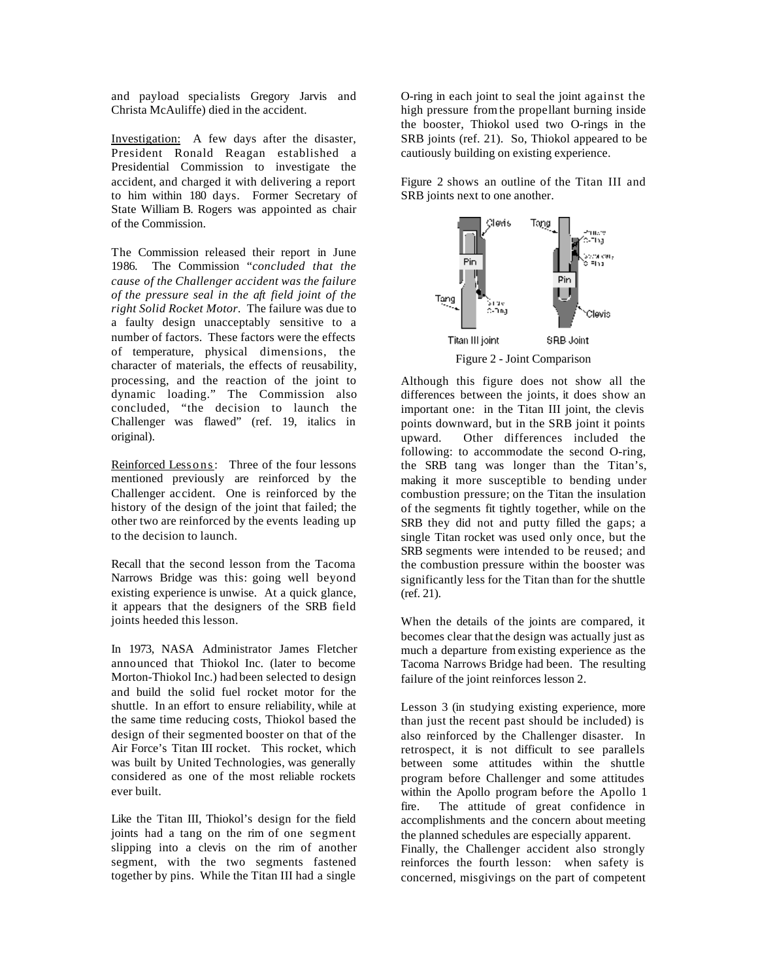and payload specialists Gregory Jarvis and Christa McAuliffe) died in the accident.

Investigation: A few days after the disaster, President Ronald Reagan established a Presidential Commission to investigate the accident, and charged it with delivering a report to him within 180 days. Former Secretary of State William B. Rogers was appointed as chair of the Commission.

The Commission released their report in June 1986. The Commission "*concluded that the cause of the Challenger accident was the failure of the pressure seal in the aft field joint of the right Solid Rocket Motor.* The failure was due to a faulty design unacceptably sensitive to a number of factors. These factors were the effects of temperature, physical dimensions, the character of materials, the effects of reusability, processing, and the reaction of the joint to dynamic loading." The Commission also concluded, "the decision to launch the Challenger was flawed" (ref. 19, italics in original).

Reinforced Lessons: Three of the four lessons mentioned previously are reinforced by the Challenger accident. One is reinforced by the history of the design of the joint that failed; the other two are reinforced by the events leading up to the decision to launch.

Recall that the second lesson from the Tacoma Narrows Bridge was this: going well beyond existing experience is unwise. At a quick glance, it appears that the designers of the SRB field joints heeded this lesson.

In 1973, NASA Administrator James Fletcher announced that Thiokol Inc. (later to become Morton-Thiokol Inc.) had been selected to design and build the solid fuel rocket motor for the shuttle. In an effort to ensure reliability, while at the same time reducing costs, Thiokol based the design of their segmented booster on that of the Air Force's Titan III rocket. This rocket, which was built by United Technologies, was generally considered as one of the most reliable rockets ever built.

Like the Titan III, Thiokol's design for the field joints had a tang on the rim of one segment slipping into a clevis on the rim of another segment, with the two segments fastened together by pins. While the Titan III had a single

O-ring in each joint to seal the joint against the high pressure from the propellant burning inside the booster, Thiokol used two O-rings in the SRB joints (ref. 21). So, Thiokol appeared to be cautiously building on existing experience.

Figure 2 shows an outline of the Titan III and SRB joints next to one another.



Although this figure does not show all the differences between the joints, it does show an important one: in the Titan III joint, the clevis points downward, but in the SRB joint it points upward. Other differences included the following: to accommodate the second O-ring, the SRB tang was longer than the Titan's, making it more susceptible to bending under combustion pressure; on the Titan the insulation of the segments fit tightly together, while on the SRB they did not and putty filled the gaps; a single Titan rocket was used only once, but the SRB segments were intended to be reused; and the combustion pressure within the booster was significantly less for the Titan than for the shuttle (ref. 21).

When the details of the joints are compared, it becomes clear that the design was actually just as much a departure from existing experience as the Tacoma Narrows Bridge had been. The resulting failure of the joint reinforces lesson 2.

Lesson 3 (in studying existing experience, more than just the recent past should be included) is also reinforced by the Challenger disaster. In retrospect, it is not difficult to see parallels between some attitudes within the shuttle program before Challenger and some attitudes within the Apollo program before the Apollo 1 fire. The attitude of great confidence in accomplishments and the concern about meeting the planned schedules are especially apparent. Finally, the Challenger accident also strongly reinforces the fourth lesson: when safety is concerned, misgivings on the part of competent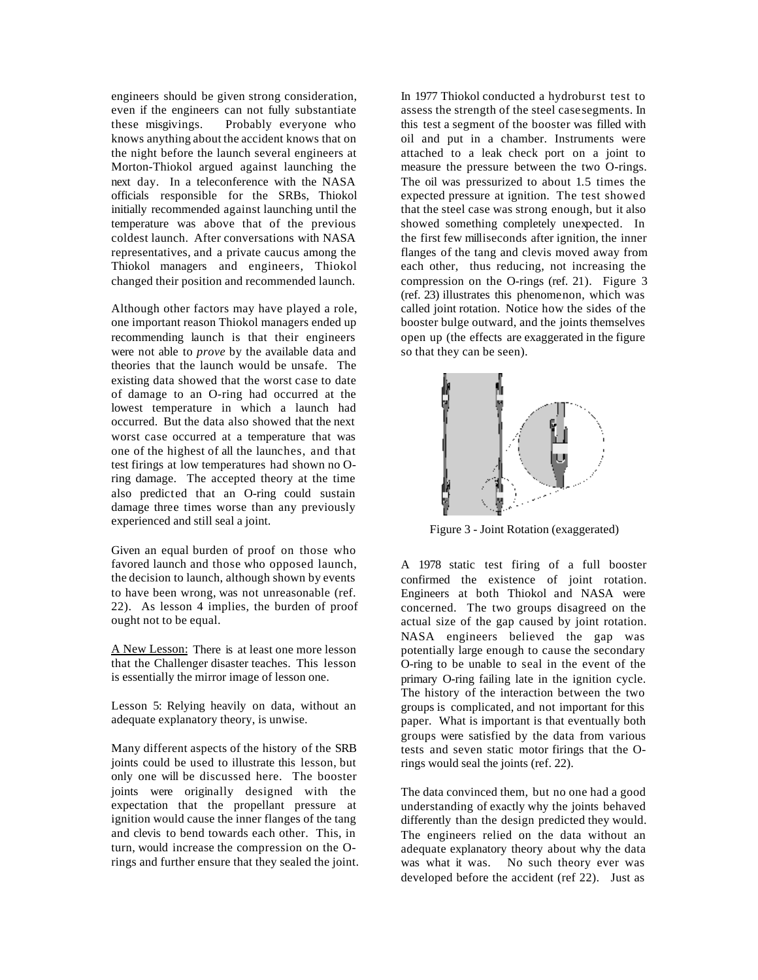engineers should be given strong consideration, even if the engineers can not fully substantiate these misgivings. Probably everyone who knows anything about the accident knows that on the night before the launch several engineers at Morton-Thiokol argued against launching the next day. In a teleconference with the NASA officials responsible for the SRBs, Thiokol initially recommended against launching until the temperature was above that of the previous coldest launch. After conversations with NASA representatives, and a private caucus among the Thiokol managers and engineers, Thiokol changed their position and recommended launch.

Although other factors may have played a role, one important reason Thiokol managers ended up recommending launch is that their engineers were not able to *prove* by the available data and theories that the launch would be unsafe. The existing data showed that the worst case to date of damage to an O-ring had occurred at the lowest temperature in which a launch had occurred. But the data also showed that the next worst case occurred at a temperature that was one of the highest of all the launches, and that test firings at low temperatures had shown no Oring damage. The accepted theory at the time also predicted that an O-ring could sustain damage three times worse than any previously experienced and still seal a joint.

Given an equal burden of proof on those who favored launch and those who opposed launch, the decision to launch, although shown by events to have been wrong, was not unreasonable (ref. 22). As lesson 4 implies, the burden of proof ought not to be equal.

A New Lesson: There is at least one more lesson that the Challenger disaster teaches. This lesson is essentially the mirror image of lesson one.

Lesson 5: Relying heavily on data, without an adequate explanatory theory, is unwise.

Many different aspects of the history of the SRB joints could be used to illustrate this lesson, but only one will be discussed here. The booster joints were originally designed with the expectation that the propellant pressure at ignition would cause the inner flanges of the tang and clevis to bend towards each other. This, in turn, would increase the compression on the Orings and further ensure that they sealed the joint. In 1977 Thiokol conducted a hydroburst test to assess the strength of the steel case segments. In this test a segment of the booster was filled with oil and put in a chamber. Instruments were attached to a leak check port on a joint to measure the pressure between the two O-rings. The oil was pressurized to about 1.5 times the expected pressure at ignition. The test showed that the steel case was strong enough, but it also showed something completely unexpected. In the first few milliseconds after ignition, the inner flanges of the tang and clevis moved away from each other, thus reducing, not increasing the compression on the O-rings (ref. 21). Figure 3 (ref. 23) illustrates this phenomenon, which was called joint rotation. Notice how the sides of the booster bulge outward, and the joints themselves open up (the effects are exaggerated in the figure so that they can be seen).



Figure 3 - Joint Rotation (exaggerated)

A 1978 static test firing of a full booster confirmed the existence of joint rotation. Engineers at both Thiokol and NASA were concerned. The two groups disagreed on the actual size of the gap caused by joint rotation. NASA engineers believed the gap was potentially large enough to cause the secondary O-ring to be unable to seal in the event of the primary O-ring failing late in the ignition cycle. The history of the interaction between the two groups is complicated, and not important for this paper. What is important is that eventually both groups were satisfied by the data from various tests and seven static motor firings that the Orings would seal the joints (ref. 22).

The data convinced them, but no one had a good understanding of exactly why the joints behaved differently than the design predicted they would. The engineers relied on the data without an adequate explanatory theory about why the data was what it was. No such theory ever was developed before the accident (ref 22). Just as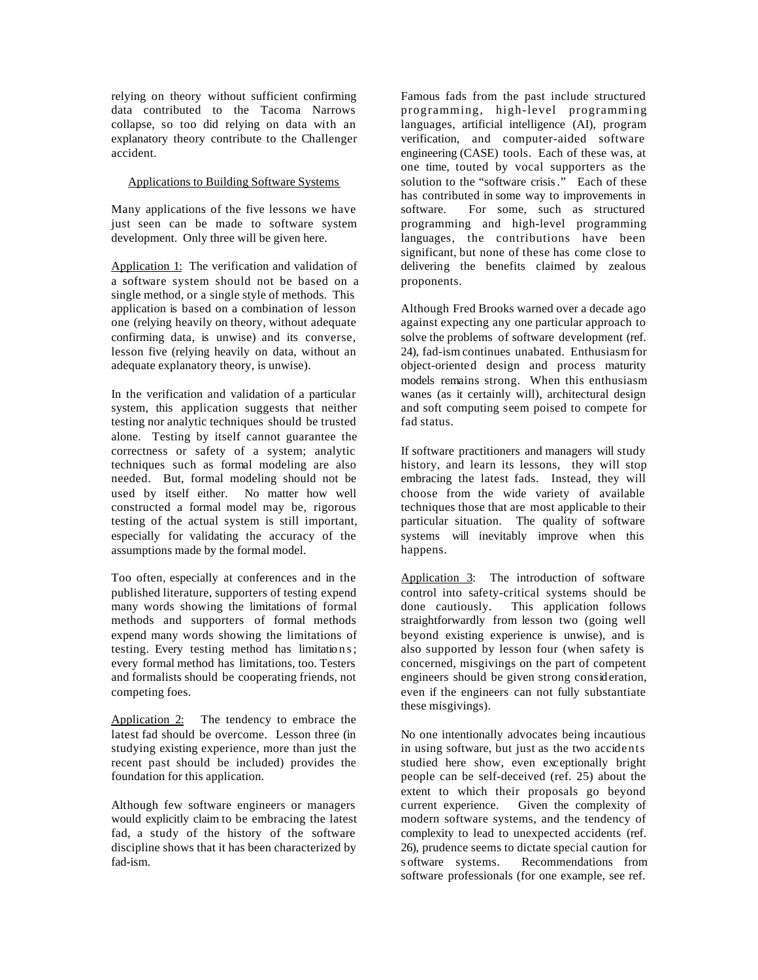relying on theory without sufficient confirming data contributed to the Tacoma Narrows collapse, so too did relying on data with an explanatory theory contribute to the Challenger accident.

# Applications to Building Software Systems

Many applications of the five lessons we have just seen can be made to software system development. Only three will be given here.

Application 1: The verification and validation of a software system should not be based on a single method, or a single style of methods. This application is based on a combination of lesson one (relying heavily on theory, without adequate confirming data, is unwise) and its converse, lesson five (relying heavily on data, without an adequate explanatory theory, is unwise).

In the verification and validation of a particular system, this application suggests that neither testing nor analytic techniques should be trusted alone. Testing by itself cannot guarantee the correctness or safety of a system; analytic techniques such as formal modeling are also needed. But, formal modeling should not be used by itself either. No matter how well constructed a formal model may be, rigorous testing of the actual system is still important, especially for validating the accuracy of the assumptions made by the formal model.

Too often, especially at conferences and in the published literature, supporters of testing expend many words showing the limitations of formal methods and supporters of formal methods expend many words showing the limitations of testing. Every testing method has limitations; every formal method has limitations, too. Testers and formalists should be cooperating friends, not competing foes.

Application 2: The tendency to embrace the latest fad should be overcome. Lesson three (in studying existing experience, more than just the recent past should be included) provides the foundation for this application.

Although few software engineers or managers would explicitly claim to be embracing the latest fad, a study of the history of the software discipline shows that it has been characterized by fad-ism.

Famous fads from the past include structured programming, high-level programming languages, artificial intelligence (AI), program verification, and computer-aided software engineering (CASE) tools. Each of these was, at one time, touted by vocal supporters as the solution to the "software crisis." Each of these has contributed in some way to improvements in software. For some, such as structured programming and high-level programming languages, the contributions have been significant, but none of these has come close to delivering the benefits claimed by zealous proponents.

Although Fred Brooks warned over a decade ago against expecting any one particular approach to solve the problems of software development (ref. 24), fad-ism continues unabated. Enthusiasm for object-oriented design and process maturity models remains strong. When this enthusiasm wanes (as it certainly will), architectural design and soft computing seem poised to compete for fad status.

If software practitioners and managers will study history, and learn its lessons, they will stop embracing the latest fads. Instead, they will choose from the wide variety of available techniques those that are most applicable to their particular situation. The quality of software systems will inevitably improve when this happens.

Application 3: The introduction of software control into safety-critical systems should be done cautiously. This application follows straightforwardly from lesson two (going well beyond existing experience is unwise), and is also supported by lesson four (when safety is concerned, misgivings on the part of competent engineers should be given strong consideration, even if the engineers can not fully substantiate these misgivings).

No one intentionally advocates being incautious in using software, but just as the two accidents studied here show, even exceptionally bright people can be self-deceived (ref. 25) about the extent to which their proposals go beyond current experience. Given the complexity of modern software systems, and the tendency of complexity to lead to unexpected accidents (ref. 26), prudence seems to dictate special caution for s oftware systems. Recommendations from software professionals (for one example, see ref.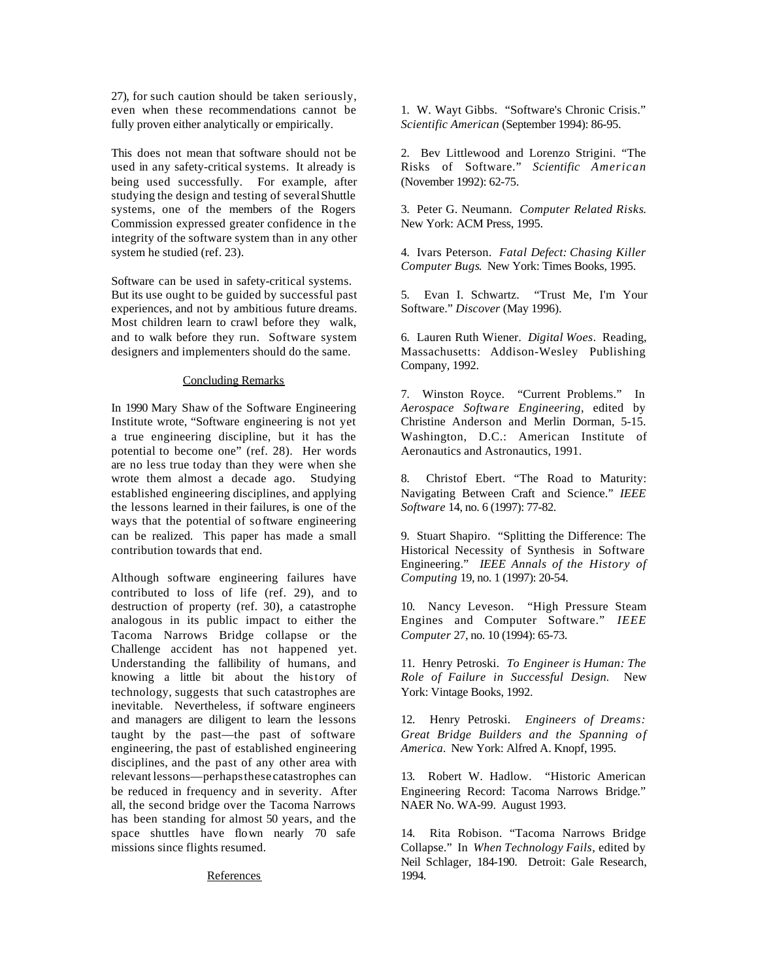27), for such caution should be taken seriously, even when these recommendations cannot be fully proven either analytically or empirically.

This does not mean that software should not be used in any safety-critical systems. It already is being used successfully. For example, after studying the design and testing of several Shuttle systems, one of the members of the Rogers Commission expressed greater confidence in the integrity of the software system than in any other system he studied (ref. 23).

Software can be used in safety-critical systems. But its use ought to be guided by successful past experiences, and not by ambitious future dreams. Most children learn to crawl before they walk, and to walk before they run. Software system designers and implementers should do the same.

## Concluding Remarks

In 1990 Mary Shaw of the Software Engineering Institute wrote, "Software engineering is not yet a true engineering discipline, but it has the potential to become one" (ref. 28). Her words are no less true today than they were when she wrote them almost a decade ago. Studying established engineering disciplines, and applying the lessons learned in their failures, is one of the ways that the potential of software engineering can be realized. This paper has made a small contribution towards that end.

Although software engineering failures have contributed to loss of life (ref. 29), and to destruction of property (ref. 30), a catastrophe analogous in its public impact to either the Tacoma Narrows Bridge collapse or the Challenge accident has not happened yet. Understanding the fallibility of humans, and knowing a little bit about the history of technology, suggests that such catastrophes are inevitable. Nevertheless, if software engineers and managers are diligent to learn the lessons taught by the past—the past of software engineering, the past of established engineering disciplines, and the past of any other area with relevant lessons—perhaps these catastrophes can be reduced in frequency and in severity. After all, the second bridge over the Tacoma Narrows has been standing for almost 50 years, and the space shuttles have flown nearly 70 safe missions since flights resumed.

## References

1. W. Wayt Gibbs. "Software's Chronic Crisis." *Scientific American* (September 1994): 86-95.

2. Bev Littlewood and Lorenzo Strigini. "The Risks of Software." *Scientific American* (November 1992): 62-75.

3. Peter G. Neumann. *Computer Related Risks*. New York: ACM Press, 1995.

4. Ivars Peterson. *Fatal Defect: Chasing Killer Computer Bugs*. New York: Times Books, 1995.

5. Evan I. Schwartz. "Trust Me, I'm Your Software." *Discover* (May 1996).

6. Lauren Ruth Wiener. *Digital Woes*. Reading, Massachusetts: Addison-Wesley Publishing Company, 1992.

7. Winston Royce. "Current Problems." In *Aerospace Software Engineering*, edited by Christine Anderson and Merlin Dorman, 5-15. Washington, D.C.: American Institute of Aeronautics and Astronautics, 1991.

8. Christof Ebert. "The Road to Maturity: Navigating Between Craft and Science." *IEEE Software* 14, no. 6 (1997): 77-82.

9. Stuart Shapiro. "Splitting the Difference: The Historical Necessity of Synthesis in Software Engineering." *IEEE Annals of the History of Computing* 19, no. 1 (1997): 20-54.

10. Nancy Leveson. "High Pressure Steam Engines and Computer Software." *IEEE Computer* 27, no. 10 (1994): 65-73.

11. Henry Petroski. *To Engineer is Human: The Role of Failure in Successful Design.* New York: Vintage Books, 1992.

12. Henry Petroski. *Engineers of Dreams: Great Bridge Builders and the Spanning of America.* New York: Alfred A. Knopf, 1995.

13. Robert W. Hadlow. "Historic American Engineering Record: Tacoma Narrows Bridge*.*" NAER No. WA-99. August 1993.

14. Rita Robison. "Tacoma Narrows Bridge Collapse." In *When Technology Fails*, edited by Neil Schlager, 184-190. Detroit: Gale Research, 1994.